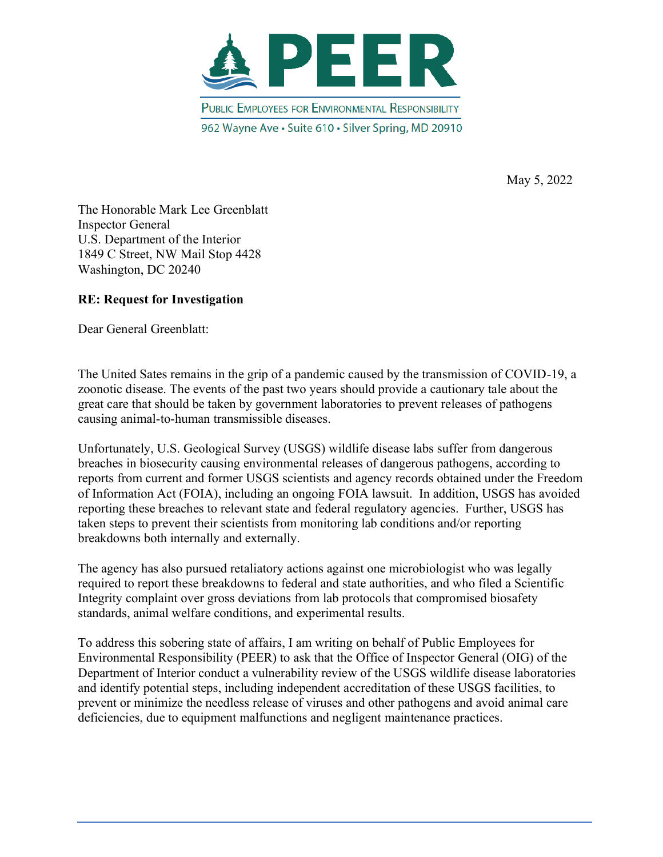

May 5, 2022

The Honorable Mark Lee Greenblatt Inspector General U.S. Department of the Interior 1849 C Street, NW Mail Stop 4428 Washington, DC 20240

### **RE: Request for Investigation**

Dear General Greenblatt:

The United Sates remains in the grip of a pandemic caused by the transmission of COVID-19, a zoonotic disease. The events of the past two years should provide a cautionary tale about the great care that should be taken by government laboratories to prevent releases of pathogens causing animal-to-human transmissible diseases.

Unfortunately, U.S. Geological Survey (USGS) wildlife disease labs suffer from dangerous breaches in biosecurity causing environmental releases of dangerous pathogens, according to reports from current and former USGS scientists and agency records obtained under the Freedom of Information Act (FOIA), including an ongoing FOIA lawsuit. In addition, USGS has avoided reporting these breaches to relevant state and federal regulatory agencies. Further, USGS has taken steps to prevent their scientists from monitoring lab conditions and/or reporting breakdowns both internally and externally.

The agency has also pursued retaliatory actions against one microbiologist who was legally required to report these breakdowns to federal and state authorities, and who filed a Scientific Integrity complaint over gross deviations from lab protocols that compromised biosafety standards, animal welfare conditions, and experimental results.

To address this sobering state of affairs, I am writing on behalf of Public Employees for Environmental Responsibility (PEER) to ask that the Office of Inspector General (OIG) of the Department of Interior conduct a vulnerability review of the USGS wildlife disease laboratories and identify potential steps, including independent accreditation of these USGS facilities, to prevent or minimize the needless release of viruses and other pathogens and avoid animal care deficiencies, due to equipment malfunctions and negligent maintenance practices.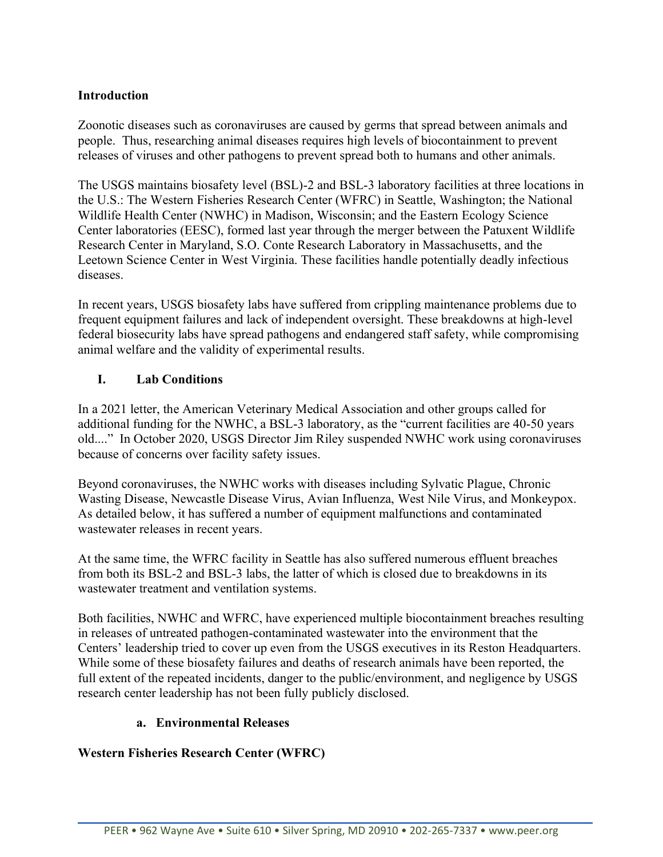## **Introduction**

Zoonotic diseases such as coronaviruses are caused by germs that spread between animals and people. Thus, researching animal diseases requires high levels of biocontainment to prevent releases of viruses and other pathogens to prevent spread both to humans and other animals.

The USGS maintains biosafety level (BSL)-2 and BSL-3 laboratory facilities at three locations in the U.S.: The Western Fisheries Research Center (WFRC) in Seattle, Washington; the National Wildlife Health Center (NWHC) in Madison, Wisconsin; and the Eastern Ecology Science Center laboratories (EESC), formed last year through the merger between the Patuxent Wildlife Research Center in Maryland, S.O. Conte Research Laboratory in Massachusetts, and the Leetown Science Center in West Virginia. These facilities handle potentially deadly infectious diseases.

In recent years, USGS biosafety labs have suffered from crippling maintenance problems due to frequent equipment failures and lack of independent oversight. These breakdowns at high-level federal biosecurity labs have spread pathogens and endangered staff safety, while compromising animal welfare and the validity of experimental results.

## **I. Lab Conditions**

In a 2021 letter, the American Veterinary Medical Association and other groups called for additional funding for the NWHC, a BSL-3 laboratory, as the "current facilities are 40-50 years old...." In October 2020, USGS Director Jim Riley suspended NWHC work using coronaviruses because of concerns over facility safety issues.

Beyond coronaviruses, the NWHC works with diseases including Sylvatic Plague, Chronic Wasting Disease, Newcastle Disease Virus, Avian Influenza, West Nile Virus, and Monkeypox. As detailed below, it has suffered a number of equipment malfunctions and contaminated wastewater releases in recent years.

At the same time, the WFRC facility in Seattle has also suffered numerous effluent breaches from both its BSL-2 and BSL-3 labs, the latter of which is closed due to breakdowns in its wastewater treatment and ventilation systems.

Both facilities, NWHC and WFRC, have experienced multiple biocontainment breaches resulting in releases of untreated pathogen-contaminated wastewater into the environment that the Centers' leadership tried to cover up even from the USGS executives in its Reston Headquarters. While some of these biosafety failures and deaths of research animals have been reported, the full extent of the repeated incidents, danger to the public/environment, and negligence by USGS research center leadership has not been fully publicly disclosed.

### **a. Environmental Releases**

### **Western Fisheries Research Center (WFRC)**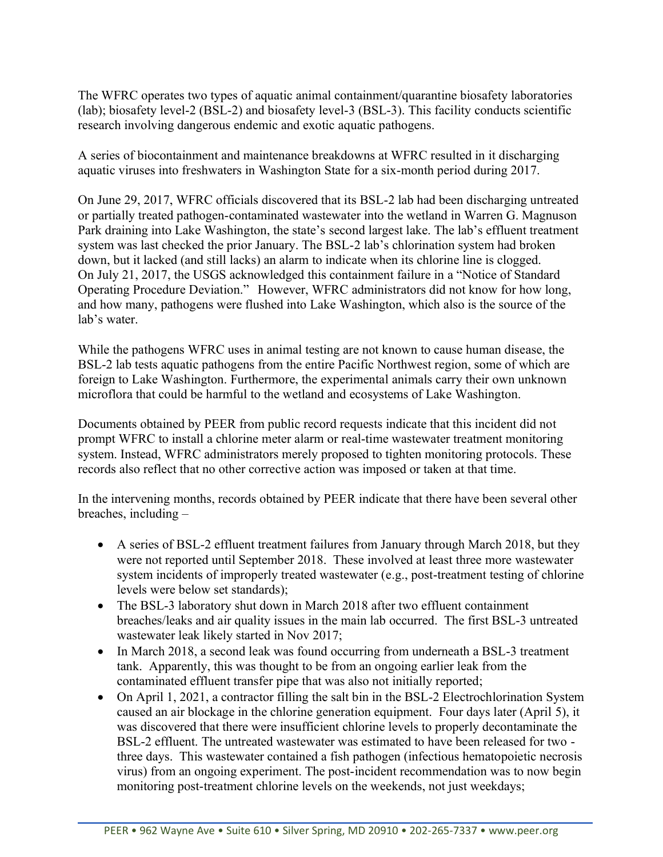The WFRC operates two types of aquatic animal containment/quarantine biosafety laboratories (lab); biosafety level-2 (BSL-2) and biosafety level-3 (BSL-3). This facility conducts scientific research involving dangerous endemic and exotic aquatic pathogens.

A series of biocontainment and maintenance breakdowns at WFRC resulted in it discharging aquatic viruses into freshwaters in Washington State for a six-month period during 2017.

On June 29, 2017, WFRC officials discovered that its BSL-2 lab had been discharging untreated or partially treated pathogen-contaminated wastewater into the wetland in Warren G. Magnuson Park draining into Lake Washington, the state's second largest lake. The lab's effluent treatment system was last checked the prior January. The BSL-2 lab's chlorination system had broken down, but it lacked (and still lacks) an alarm to indicate when its chlorine line is clogged.   On July 21, 2017, the USGS acknowledged this containment failure in a "Notice of Standard Operating Procedure Deviation."   However, WFRC administrators did not know for how long, and how many, pathogens were flushed into Lake Washington, which also is the source of the lab's water.  

While the pathogens WFRC uses in animal testing are not known to cause human disease, the BSL-2 lab tests aquatic pathogens from the entire Pacific Northwest region, some of which are foreign to Lake Washington. Furthermore, the experimental animals carry their own unknown microflora that could be harmful to the wetland and ecosystems of Lake Washington.  

Documents obtained by PEER from public record requests indicate that this incident did not prompt WFRC to install a chlorine meter alarm or real-time wastewater treatment monitoring system. Instead, WFRC administrators merely proposed to tighten monitoring protocols. These records also reflect that no other corrective action was imposed or taken at that time.

In the intervening months, records obtained by PEER indicate that there have been several other breaches, including –

- A series of BSL-2 effluent treatment failures from January through March 2018, but they were not reported until September 2018. These involved at least three more wastewater system incidents of improperly treated wastewater (e.g., post-treatment testing of chlorine levels were below set standards);
- The BSL-3 laboratory shut down in March 2018 after two effluent containment breaches/leaks and air quality issues in the main lab occurred. The first BSL-3 untreated wastewater leak likely started in Nov 2017;
- In March 2018, a second leak was found occurring from underneath a BSL-3 treatment tank. Apparently, this was thought to be from an ongoing earlier leak from the contaminated effluent transfer pipe that was also not initially reported;
- On April 1, 2021, a contractor filling the salt bin in the BSL-2 Electrochlorination System caused an air blockage in the chlorine generation equipment. Four days later (April 5), it was discovered that there were insufficient chlorine levels to properly decontaminate the BSL-2 effluent. The untreated wastewater was estimated to have been released for two three days. This wastewater contained a fish pathogen (infectious hematopoietic necrosis virus) from an ongoing experiment. The post-incident recommendation was to now begin monitoring post-treatment chlorine levels on the weekends, not just weekdays;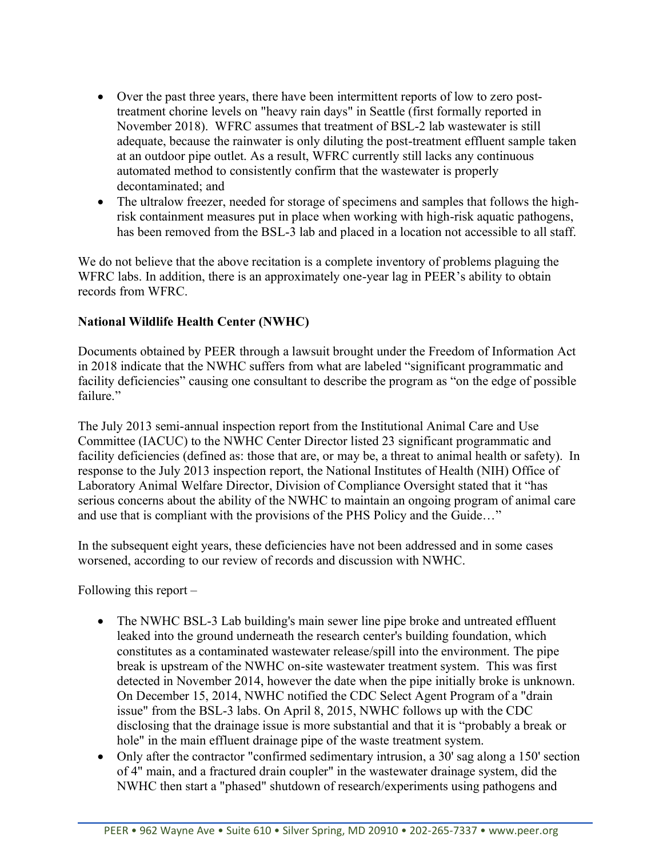- Over the past three years, there have been intermittent reports of low to zero posttreatment chorine levels on "heavy rain days" in Seattle (first formally reported in November 2018). WFRC assumes that treatment of BSL-2 lab wastewater is still adequate, because the rainwater is only diluting the post-treatment effluent sample taken at an outdoor pipe outlet. As a result, WFRC currently still lacks any continuous automated method to consistently confirm that the wastewater is properly decontaminated; and
- The ultralow freezer, needed for storage of specimens and samples that follows the highrisk containment measures put in place when working with high-risk aquatic pathogens, has been removed from the BSL-3 lab and placed in a location not accessible to all staff.

We do not believe that the above recitation is a complete inventory of problems plaguing the WFRC labs. In addition, there is an approximately one-year lag in PEER's ability to obtain records from WFRC.

## **National Wildlife Health Center (NWHC)**

Documents obtained by PEER through a lawsuit brought under the Freedom of Information Act in 2018 indicate that the NWHC suffers from what are labeled "significant programmatic and facility deficiencies" causing one consultant to describe the program as "on the edge of possible failure."

The July 2013 semi-annual inspection report from the Institutional Animal Care and Use Committee (IACUC) to the NWHC Center Director listed 23 significant programmatic and facility deficiencies (defined as: those that are, or may be, a threat to animal health or safety). In response to the July 2013 inspection report, the National Institutes of Health (NIH) Office of Laboratory Animal Welfare Director, Division of Compliance Oversight stated that it "has serious concerns about the ability of the NWHC to maintain an ongoing program of animal care and use that is compliant with the provisions of the PHS Policy and the Guide…"

In the subsequent eight years, these deficiencies have not been addressed and in some cases worsened, according to our review of records and discussion with NWHC.

Following this report –

- The NWHC BSL-3 Lab building's main sewer line pipe broke and untreated effluent leaked into the ground underneath the research center's building foundation, which constitutes as a contaminated wastewater release/spill into the environment. The pipe break is upstream of the NWHC on-site wastewater treatment system. This was first detected in November 2014, however the date when the pipe initially broke is unknown. On December 15, 2014, NWHC notified the CDC Select Agent Program of a "drain issue" from the BSL-3 labs. On April 8, 2015, NWHC follows up with the CDC disclosing that the drainage issue is more substantial and that it is "probably a break or hole" in the main effluent drainage pipe of the waste treatment system.
- Only after the contractor "confirmed sedimentary intrusion, a 30' sag along a 150' section of 4" main, and a fractured drain coupler" in the wastewater drainage system, did the NWHC then start a "phased" shutdown of research/experiments using pathogens and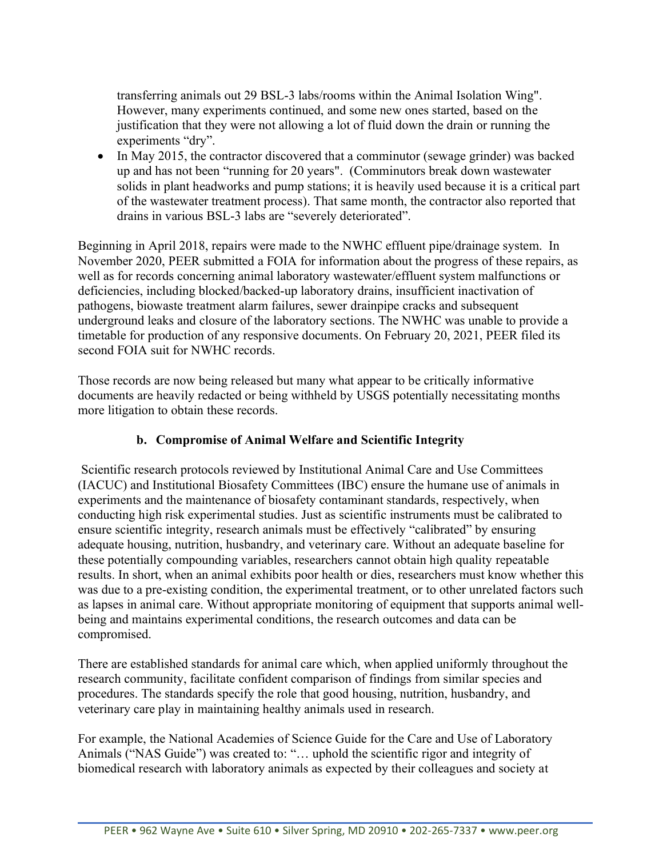transferring animals out 29 BSL-3 labs/rooms within the Animal Isolation Wing". However, many experiments continued, and some new ones started, based on the justification that they were not allowing a lot of fluid down the drain or running the experiments "dry".

• In May 2015, the contractor discovered that a comminutor (sewage grinder) was backed up and has not been "running for 20 years". (Comminutors break down wastewater solids in plant headworks and pump stations; it is heavily used because it is a critical part of the wastewater treatment process). That same month, the contractor also reported that drains in various BSL-3 labs are "severely deteriorated".

Beginning in April 2018, repairs were made to the NWHC effluent pipe/drainage system. In November 2020, PEER submitted a FOIA for information about the progress of these repairs, as well as for records concerning animal laboratory wastewater/effluent system malfunctions or deficiencies, including blocked/backed-up laboratory drains, insufficient inactivation of pathogens, biowaste treatment alarm failures, sewer drainpipe cracks and subsequent underground leaks and closure of the laboratory sections. The NWHC was unable to provide a timetable for production of any responsive documents. On February 20, 2021, PEER filed its second FOIA suit for NWHC records.

Those records are now being released but many what appear to be critically informative documents are heavily redacted or being withheld by USGS potentially necessitating months more litigation to obtain these records.

## **b. Compromise of Animal Welfare and Scientific Integrity**

Scientific research protocols reviewed by Institutional Animal Care and Use Committees (IACUC) and Institutional Biosafety Committees (IBC) ensure the humane use of animals in experiments and the maintenance of biosafety contaminant standards, respectively, when conducting high risk experimental studies. Just as scientific instruments must be calibrated to ensure scientific integrity, research animals must be effectively "calibrated" by ensuring adequate housing, nutrition, husbandry, and veterinary care. Without an adequate baseline for these potentially compounding variables, researchers cannot obtain high quality repeatable results. In short, when an animal exhibits poor health or dies, researchers must know whether this was due to a pre-existing condition, the experimental treatment, or to other unrelated factors such as lapses in animal care. Without appropriate monitoring of equipment that supports animal wellbeing and maintains experimental conditions, the research outcomes and data can be compromised.

There are established standards for animal care which, when applied uniformly throughout the research community, facilitate confident comparison of findings from similar species and procedures. The standards specify the role that good housing, nutrition, husbandry, and veterinary care play in maintaining healthy animals used in research.

For example, the National Academies of Science Guide for the Care and Use of Laboratory Animals ("NAS Guide") was created to: "… uphold the scientific rigor and integrity of biomedical research with laboratory animals as expected by their colleagues and society at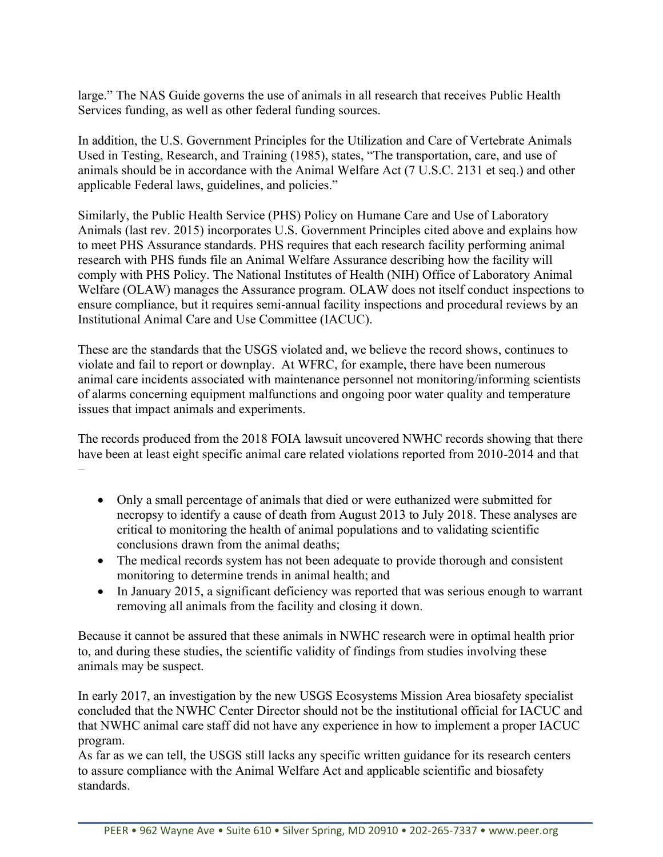large." The NAS Guide governs the use of animals in all research that receives Public Health Services funding, as well as other federal funding sources.

In addition, the U.S. Government Principles for the Utilization and Care of Vertebrate Animals Used in Testing, Research, and Training (1985), states, "The transportation, care, and use of animals should be in accordance with the Animal Welfare Act (7 U.S.C. 2131 et seq.) and other applicable Federal laws, guidelines, and policies."

Similarly, the Public Health Service (PHS) Policy on Humane Care and Use of Laboratory Animals (last rev. 2015) incorporates U.S. Government Principles cited above and explains how to meet PHS Assurance standards. PHS requires that each research facility performing animal research with PHS funds file an Animal Welfare Assurance describing how the facility will comply with PHS Policy. The National Institutes of Health (NIH) Office of Laboratory Animal Welfare (OLAW) manages the Assurance program. OLAW does not itself conduct inspections to ensure compliance, but it requires semi-annual facility inspections and procedural reviews by an Institutional Animal Care and Use Committee (IACUC).

These are the standards that the USGS violated and, we believe the record shows, continues to violate and fail to report or downplay. At WFRC, for example, there have been numerous animal care incidents associated with maintenance personnel not monitoring/informing scientists of alarms concerning equipment malfunctions and ongoing poor water quality and temperature issues that impact animals and experiments.

The records produced from the 2018 FOIA lawsuit uncovered NWHC records showing that there have been at least eight specific animal care related violations reported from 2010-2014 and that –

- Only a small percentage of animals that died or were euthanized were submitted for necropsy to identify a cause of death from August 2013 to July 2018. These analyses are critical to monitoring the health of animal populations and to validating scientific conclusions drawn from the animal deaths;
- The medical records system has not been adequate to provide thorough and consistent monitoring to determine trends in animal health; and
- In January 2015, a significant deficiency was reported that was serious enough to warrant removing all animals from the facility and closing it down.

Because it cannot be assured that these animals in NWHC research were in optimal health prior to, and during these studies, the scientific validity of findings from studies involving these animals may be suspect.

In early 2017, an investigation by the new USGS Ecosystems Mission Area biosafety specialist concluded that the NWHC Center Director should not be the institutional official for IACUC and that NWHC animal care staff did not have any experience in how to implement a proper IACUC program.

As far as we can tell, the USGS still lacks any specific written guidance for its research centers to assure compliance with the Animal Welfare Act and applicable scientific and biosafety standards.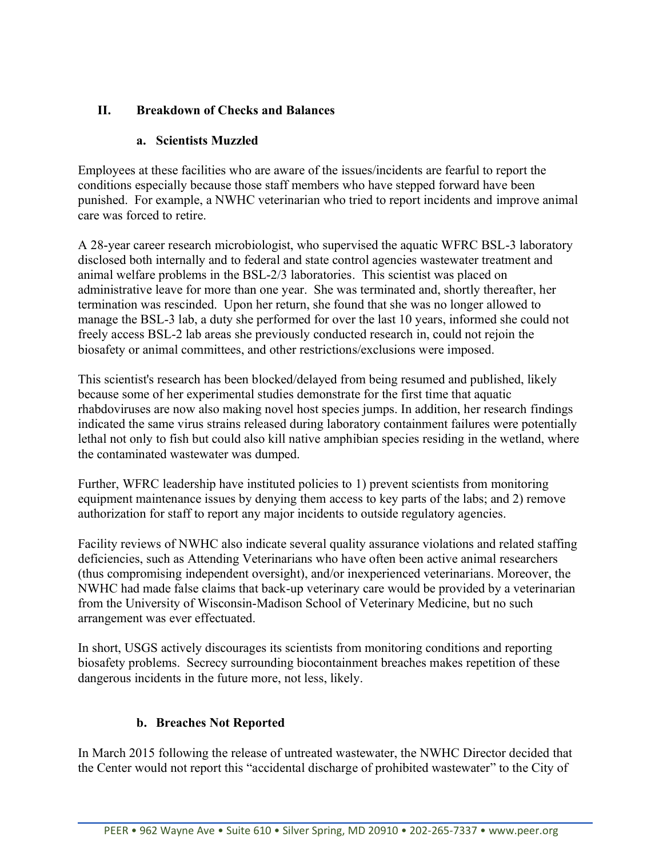## **II. Breakdown of Checks and Balances**

## **a. Scientists Muzzled**

Employees at these facilities who are aware of the issues/incidents are fearful to report the conditions especially because those staff members who have stepped forward have been punished. For example, a NWHC veterinarian who tried to report incidents and improve animal care was forced to retire.

A 28-year career research microbiologist, who supervised the aquatic WFRC BSL-3 laboratory disclosed both internally and to federal and state control agencies wastewater treatment and animal welfare problems in the BSL-2/3 laboratories. This scientist was placed on administrative leave for more than one year. She was terminated and, shortly thereafter, her termination was rescinded. Upon her return, she found that she was no longer allowed to manage the BSL-3 lab, a duty she performed for over the last 10 years, informed she could not freely access BSL-2 lab areas she previously conducted research in, could not rejoin the biosafety or animal committees, and other restrictions/exclusions were imposed.

This scientist's research has been blocked/delayed from being resumed and published, likely because some of her experimental studies demonstrate for the first time that aquatic rhabdoviruses are now also making novel host species jumps. In addition, her research findings indicated the same virus strains released during laboratory containment failures were potentially lethal not only to fish but could also kill native amphibian species residing in the wetland, where the contaminated wastewater was dumped.

Further, WFRC leadership have instituted policies to 1) prevent scientists from monitoring equipment maintenance issues by denying them access to key parts of the labs; and 2) remove authorization for staff to report any major incidents to outside regulatory agencies.

Facility reviews of NWHC also indicate several quality assurance violations and related staffing deficiencies, such as Attending Veterinarians who have often been active animal researchers (thus compromising independent oversight), and/or inexperienced veterinarians. Moreover, the NWHC had made false claims that back-up veterinary care would be provided by a veterinarian from the University of Wisconsin-Madison School of Veterinary Medicine, but no such arrangement was ever effectuated.

In short, USGS actively discourages its scientists from monitoring conditions and reporting biosafety problems. Secrecy surrounding biocontainment breaches makes repetition of these dangerous incidents in the future more, not less, likely.

## **b. Breaches Not Reported**

In March 2015 following the release of untreated wastewater, the NWHC Director decided that the Center would not report this "accidental discharge of prohibited wastewater" to the City of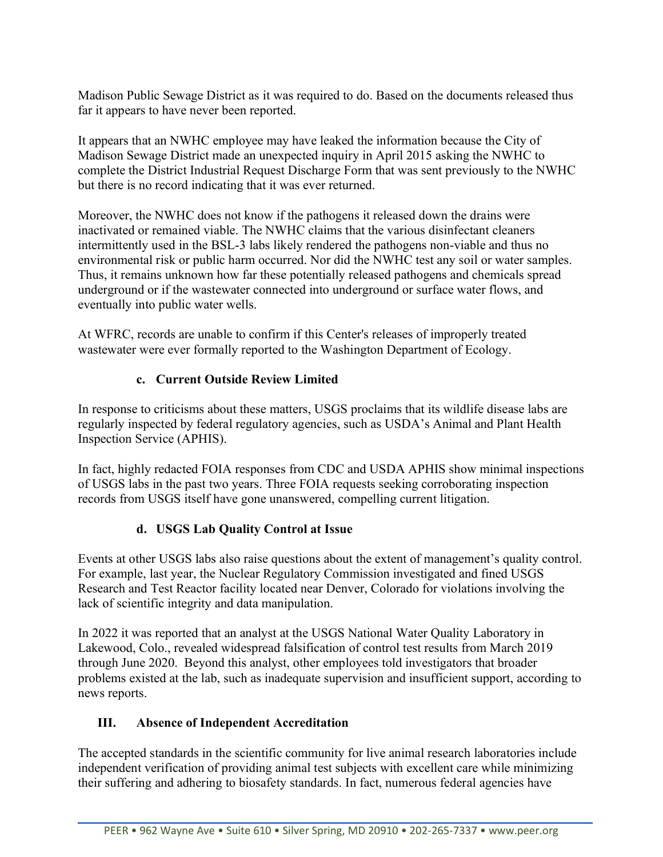Madison Public Sewage District as it was required to do. Based on the documents released thus far it appears to have never been reported.

It appears that an NWHC employee may have leaked the information because the City of Madison Sewage District made an unexpected inquiry in April 2015 asking the NWHC to complete the District Industrial Request Discharge Form that was sent previously to the NWHC but there is no record indicating that it was ever returned.

Moreover, the NWHC does not know if the pathogens it released down the drains were inactivated or remained viable. The NWHC claims that the various disinfectant cleaners intermittently used in the BSL-3 labs likely rendered the pathogens non-viable and thus no environmental risk or public harm occurred. Nor did the NWHC test any soil or water samples. Thus, it remains unknown how far these potentially released pathogens and chemicals spread underground or if the wastewater connected into underground or surface water flows, and eventually into public water wells.

At WFRC, records are unable to confirm if this Center's releases of improperly treated wastewater were ever formally reported to the Washington Department of Ecology.

## **c. Current Outside Review Limited**

In response to criticisms about these matters, USGS proclaims that its wildlife disease labs are regularly inspected by federal regulatory agencies, such as USDA's Animal and Plant Health Inspection Service (APHIS).

In fact, highly redacted FOIA responses from CDC and USDA APHIS show minimal inspections of USGS labs in the past two years. Three FOIA requests seeking corroborating inspection records from USGS itself have gone unanswered, compelling current litigation.

# **d. USGS Lab Quality Control at Issue**

Events at other USGS labs also raise questions about the extent of management's quality control. For example, last year, the Nuclear Regulatory Commission investigated and fined USGS Research and Test Reactor facility located near Denver, Colorado for violations involving the lack of scientific integrity and data manipulation.

In 2022 it was reported that an analyst at the USGS National Water Quality Laboratory in Lakewood, Colo., revealed widespread falsification of control test results from March 2019 through June 2020. Beyond this analyst, other employees told investigators that broader problems existed at the lab, such as inadequate supervision and insufficient support, according to news reports.

# **III. Absence of Independent Accreditation**

The accepted standards in the scientific community for live animal research laboratories include independent verification of providing animal test subjects with excellent care while minimizing their suffering and adhering to biosafety standards. In fact, numerous federal agencies have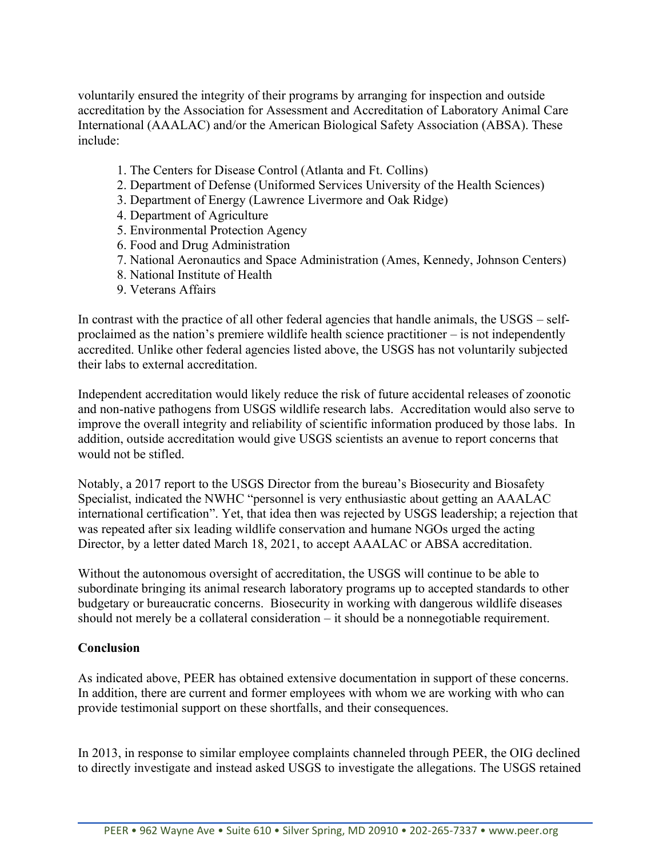voluntarily ensured the integrity of their programs by arranging for inspection and outside accreditation by the Association for Assessment and Accreditation of Laboratory Animal Care International (AAALAC) and/or the American Biological Safety Association (ABSA). These include:

- 1. The Centers for Disease Control (Atlanta and Ft. Collins)
- 2. Department of Defense (Uniformed Services University of the Health Sciences)
- 3. Department of Energy (Lawrence Livermore and Oak Ridge)
- 4. Department of Agriculture
- 5. Environmental Protection Agency
- 6. Food and Drug Administration
- 7. National Aeronautics and Space Administration (Ames, Kennedy, Johnson Centers)
- 8. National Institute of Health
- 9. Veterans Affairs

In contrast with the practice of all other federal agencies that handle animals, the USGS – selfproclaimed as the nation's premiere wildlife health science practitioner – is not independently accredited. Unlike other federal agencies listed above, the USGS has not voluntarily subjected their labs to external accreditation.

Independent accreditation would likely reduce the risk of future accidental releases of zoonotic and non-native pathogens from USGS wildlife research labs. Accreditation would also serve to improve the overall integrity and reliability of scientific information produced by those labs. In addition, outside accreditation would give USGS scientists an avenue to report concerns that would not be stifled.

Notably, a 2017 report to the USGS Director from the bureau's Biosecurity and Biosafety Specialist, indicated the NWHC "personnel is very enthusiastic about getting an AAALAC international certification". Yet, that idea then was rejected by USGS leadership; a rejection that was repeated after six leading wildlife conservation and humane NGOs urged the acting Director, by a letter dated March 18, 2021, to accept AAALAC or ABSA accreditation.

Without the autonomous oversight of accreditation, the USGS will continue to be able to subordinate bringing its animal research laboratory programs up to accepted standards to other budgetary or bureaucratic concerns. Biosecurity in working with dangerous wildlife diseases should not merely be a collateral consideration – it should be a nonnegotiable requirement.

### **Conclusion**

As indicated above, PEER has obtained extensive documentation in support of these concerns. In addition, there are current and former employees with whom we are working with who can provide testimonial support on these shortfalls, and their consequences.

In 2013, in response to similar employee complaints channeled through PEER, the OIG declined to directly investigate and instead asked USGS to investigate the allegations. The USGS retained